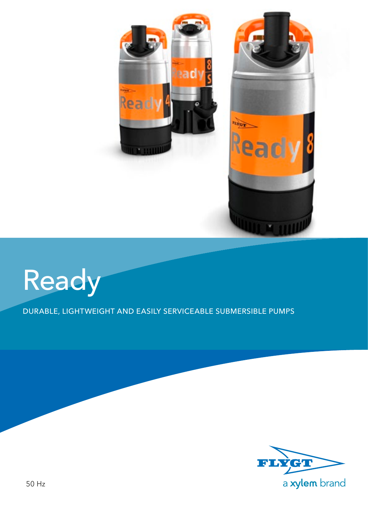



DURABLE, LIGHTWEIGHT AND EASILY SERVICEABLE SUBMERSIBLE PUMPS

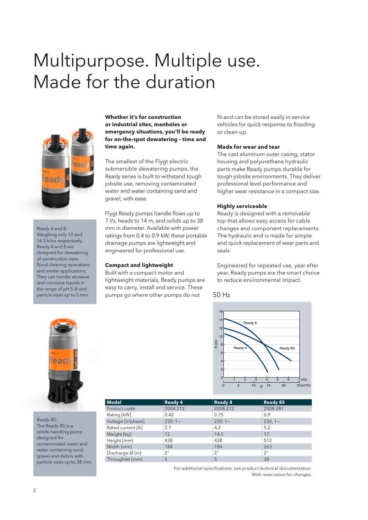## Multipurpose. Multiple use. Made for the duration



*Ready 4 and 8:* Weighing only 12 and 14.5 kilos respectively, Ready 4 and 8 are designed for dewatering of construction sites, flood cleaning operations and similar applications. They can handle abrasive and corrosive liquids in the range of pH 5–8 and particle sizes up to 5 mm.

**Whether it's for construction or industrial sites, manholes or emergency situations, you'll be ready for on-the-spot dewatering – time and time again.**

The smallest of the Flygt electric submersible dewatering pumps, the Ready series is built to withstand tough jobsite use, removing contaminated water and water containing sand and gravel, with ease.

Flygt Ready pumps handle flows up to 7 l/s, heads to 14 m, and solids up to 38 mm in diameter. Available with power ratings from 0.4 to 0.9 kW, these portable drainage pumps are lightweight and engineered for professional use.

### **Compact and lightweight**

Built with a compact motor and lightweight materials, Ready pumps are easy to carry, install and service. These pumps go where other pumps do not

fit and can be stored easily in service vehicles for quick response to flooding or clean-up.

### **Made for wear and tear**

The cast aluminum outer casing, stator housing and polyurethane hydraulic parts make Ready pumps durable for tough jobsite environments. They deliver professional level performance and higher wear resistance in a compact size.

### **Highly serviceable**

Ready is designed with a removable top that allows easy access for cable changes and component replacements. The hydraulic end is made for simple and quick replacement of wear parts and seals.

Engineered for repeated use, year after year, Ready pumps are the smart choice to reduce environmental impact.

### 50 Hz





*Ready 8S:* The Ready 8S is a solids-handling pump designed for contaminated water and water containing sand, gravel and debris with particle sizes up to 38 mm.

| <b>Ready 4</b> |          | <b>Ready 8S</b>                      |
|----------------|----------|--------------------------------------|
| 2004.212       | 2008.212 | 2008.281                             |
| 0.42           |          | 0.9                                  |
| $230, 1 -$     |          | $230,1-$                             |
| 2.7            | 4.2      | 5.2                                  |
| 12             | 14.5     | 17                                   |
| 438            | 438      | 512                                  |
| 184            | 184      | 263                                  |
| 2"             | 2"       | 2"                                   |
| 5              | 5        | 38                                   |
|                |          | <b>Ready 8</b><br>0.75<br>$230, 1 -$ |

For additional specifications, see product technical documentation. With reservation for changes.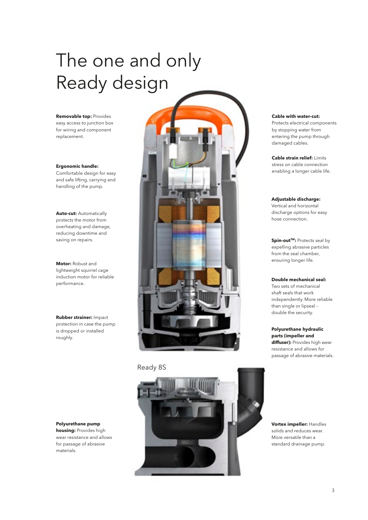# The one and only Ready design

**Removable top:** Provides easy access to junction box for wiring and component replacement.

**Ergonomic handle:**  Comfortable design for easy and safe lifting, carrying and handling of the pump.

**Auto-cut:** Automatically protects the motor from overheating and damage, reducing downtime and

**Motor:** Robust and lightweight squirrel cage induction motor for reliable performance.

**Rubber strainer:** Impact protection in case the pump is dropped or installed roughly.

**Polyurethane pump housing:** Provides high wear resistance and allows for passage of abrasive materials.



### Ready 8S



**Cable with water-cut:** 

Protects electrical components by stopping water from entering the pump through damaged cables.

**Cable strain relief:** Limits stress on cable connection enabling a longer cable life.

### **Adjustable discharge:**

Vertical and horizontal discharge options for easy hose connection.

expelling abrasive particles from the seal chamber, ensuring longer life.

#### **Double mechanical seal:**

Two sets of mechanical shaft seals that work independently. More reliable than single or lipseal – double the security.

**Polyurethane hydraulic parts (impeller and diffuser):** Provides high wear resistance and allows for passage of abrasive materials.

**Vortex impeller:** Handles solids and reduces wear. More versatile than a standard drainage pump.